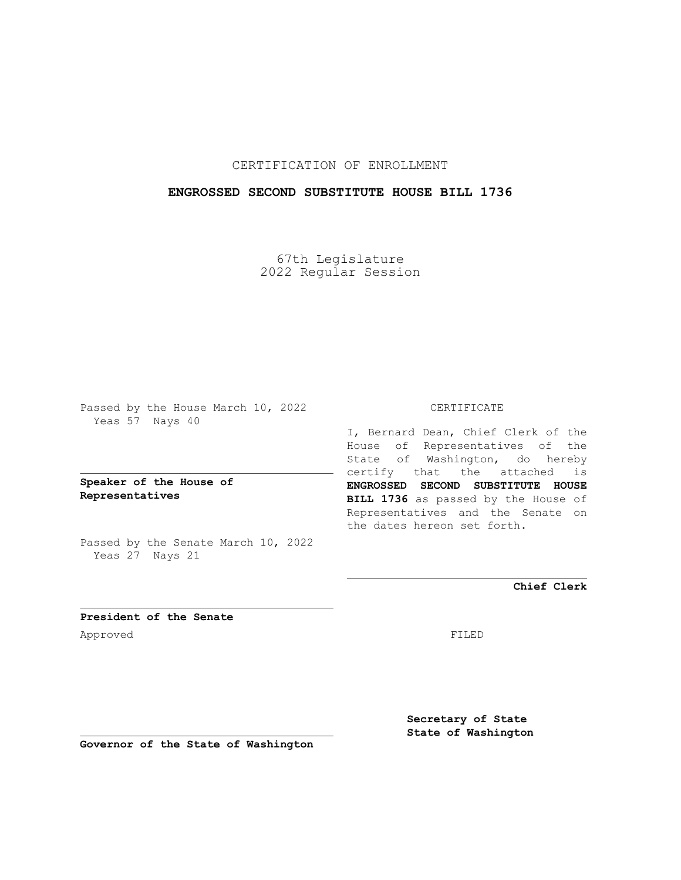## CERTIFICATION OF ENROLLMENT

## **ENGROSSED SECOND SUBSTITUTE HOUSE BILL 1736**

67th Legislature 2022 Regular Session

Passed by the House March 10, 2022 Yeas 57 Nays 40

**Speaker of the House of Representatives**

Passed by the Senate March 10, 2022 Yeas 27 Nays 21

### CERTIFICATE

I, Bernard Dean, Chief Clerk of the House of Representatives of the State of Washington, do hereby certify that the attached is **ENGROSSED SECOND SUBSTITUTE HOUSE BILL 1736** as passed by the House of Representatives and the Senate on the dates hereon set forth.

**Chief Clerk**

**President of the Senate** Approved FILED

**Secretary of State State of Washington**

**Governor of the State of Washington**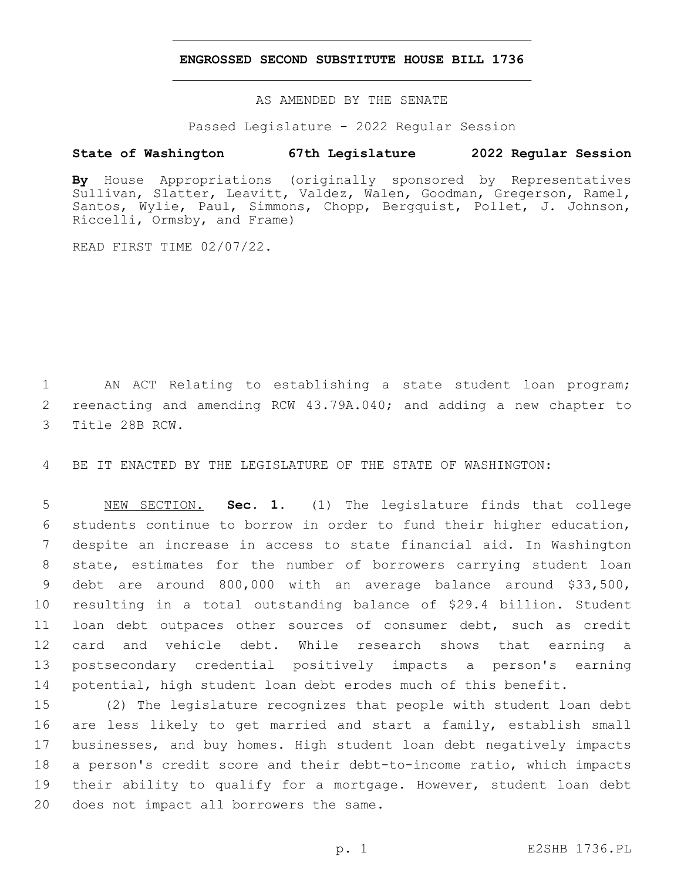#### **ENGROSSED SECOND SUBSTITUTE HOUSE BILL 1736**

AS AMENDED BY THE SENATE

Passed Legislature - 2022 Regular Session

# **State of Washington 67th Legislature 2022 Regular Session**

**By** House Appropriations (originally sponsored by Representatives Sullivan, Slatter, Leavitt, Valdez, Walen, Goodman, Gregerson, Ramel, Santos, Wylie, Paul, Simmons, Chopp, Bergquist, Pollet, J. Johnson, Riccelli, Ormsby, and Frame)

READ FIRST TIME 02/07/22.

1 AN ACT Relating to establishing a state student loan program; 2 reenacting and amending RCW 43.79A.040; and adding a new chapter to 3 Title 28B RCW.

4 BE IT ENACTED BY THE LEGISLATURE OF THE STATE OF WASHINGTON:

 NEW SECTION. **Sec. 1.** (1) The legislature finds that college students continue to borrow in order to fund their higher education, despite an increase in access to state financial aid. In Washington state, estimates for the number of borrowers carrying student loan debt are around 800,000 with an average balance around \$33,500, resulting in a total outstanding balance of \$29.4 billion. Student loan debt outpaces other sources of consumer debt, such as credit card and vehicle debt. While research shows that earning a postsecondary credential positively impacts a person's earning potential, high student loan debt erodes much of this benefit.

 (2) The legislature recognizes that people with student loan debt are less likely to get married and start a family, establish small businesses, and buy homes. High student loan debt negatively impacts a person's credit score and their debt-to-income ratio, which impacts their ability to qualify for a mortgage. However, student loan debt 20 does not impact all borrowers the same.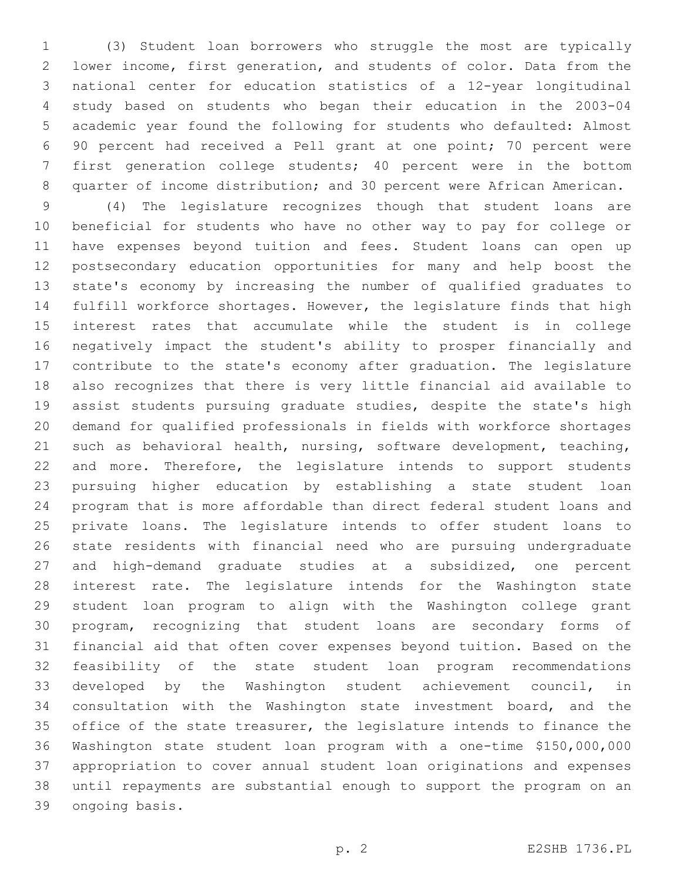(3) Student loan borrowers who struggle the most are typically lower income, first generation, and students of color. Data from the national center for education statistics of a 12-year longitudinal study based on students who began their education in the 2003-04 academic year found the following for students who defaulted: Almost 90 percent had received a Pell grant at one point; 70 percent were first generation college students; 40 percent were in the bottom quarter of income distribution; and 30 percent were African American.

 (4) The legislature recognizes though that student loans are beneficial for students who have no other way to pay for college or have expenses beyond tuition and fees. Student loans can open up postsecondary education opportunities for many and help boost the state's economy by increasing the number of qualified graduates to fulfill workforce shortages. However, the legislature finds that high interest rates that accumulate while the student is in college negatively impact the student's ability to prosper financially and contribute to the state's economy after graduation. The legislature also recognizes that there is very little financial aid available to assist students pursuing graduate studies, despite the state's high demand for qualified professionals in fields with workforce shortages such as behavioral health, nursing, software development, teaching, and more. Therefore, the legislature intends to support students pursuing higher education by establishing a state student loan program that is more affordable than direct federal student loans and private loans. The legislature intends to offer student loans to state residents with financial need who are pursuing undergraduate and high-demand graduate studies at a subsidized, one percent interest rate. The legislature intends for the Washington state student loan program to align with the Washington college grant program, recognizing that student loans are secondary forms of financial aid that often cover expenses beyond tuition. Based on the feasibility of the state student loan program recommendations developed by the Washington student achievement council, in consultation with the Washington state investment board, and the 35 office of the state treasurer, the legislature intends to finance the Washington state student loan program with a one-time \$150,000,000 appropriation to cover annual student loan originations and expenses until repayments are substantial enough to support the program on an 39 ongoing basis.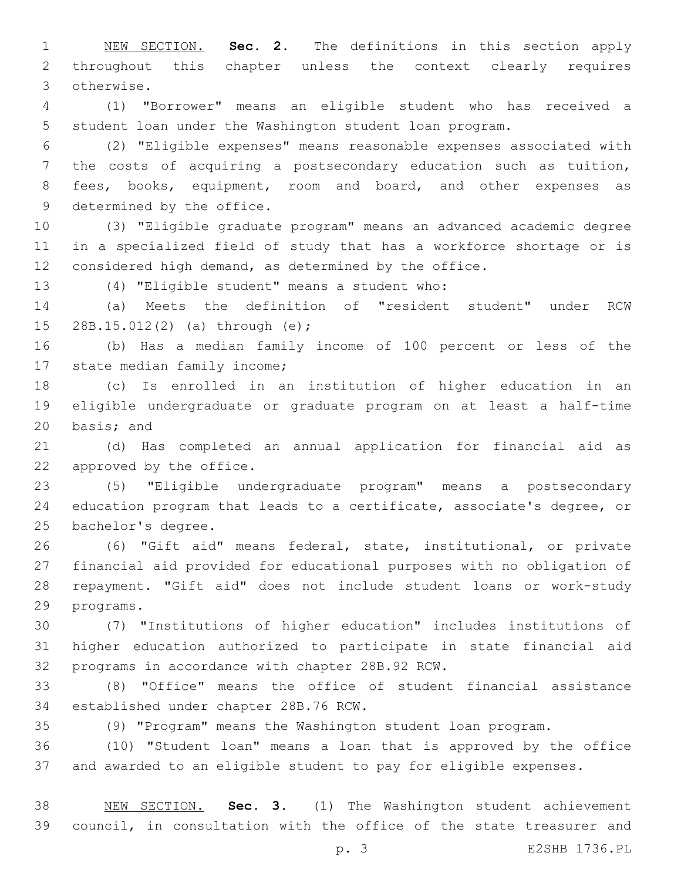NEW SECTION. **Sec. 2.** The definitions in this section apply throughout this chapter unless the context clearly requires otherwise.

 (1) "Borrower" means an eligible student who has received a student loan under the Washington student loan program.

 (2) "Eligible expenses" means reasonable expenses associated with the costs of acquiring a postsecondary education such as tuition, 8 fees, books, equipment, room and board, and other expenses as 9 determined by the office.

 (3) "Eligible graduate program" means an advanced academic degree in a specialized field of study that has a workforce shortage or is considered high demand, as determined by the office.

(4) "Eligible student" means a student who:13

 (a) Meets the definition of "resident student" under RCW 15 28B.15.012(2) (a) through (e);

 (b) Has a median family income of 100 percent or less of the 17 state median family income;

 (c) Is enrolled in an institution of higher education in an eligible undergraduate or graduate program on at least a half-time 20 basis; and

 (d) Has completed an annual application for financial aid as 22 approved by the office.

 (5) "Eligible undergraduate program" means a postsecondary education program that leads to a certificate, associate's degree, or 25 bachelor's degree.

 (6) "Gift aid" means federal, state, institutional, or private financial aid provided for educational purposes with no obligation of repayment. "Gift aid" does not include student loans or work-study 29 programs.

 (7) "Institutions of higher education" includes institutions of higher education authorized to participate in state financial aid 32 programs in accordance with chapter 28B.92 RCW.

 (8) "Office" means the office of student financial assistance 34 established under chapter 28B.76 RCW.

(9) "Program" means the Washington student loan program.

 (10) "Student loan" means a loan that is approved by the office and awarded to an eligible student to pay for eligible expenses.

 NEW SECTION. **Sec. 3.** (1) The Washington student achievement council, in consultation with the office of the state treasurer and

p. 3 E2SHB 1736.PL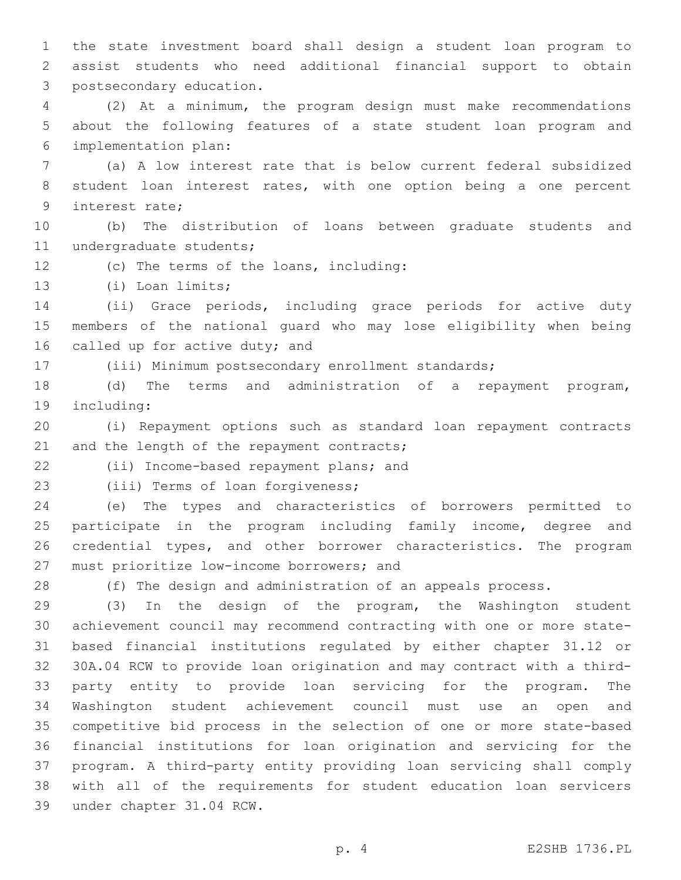the state investment board shall design a student loan program to assist students who need additional financial support to obtain 3 postsecondary education.

 (2) At a minimum, the program design must make recommendations about the following features of a state student loan program and implementation plan:6

 (a) A low interest rate that is below current federal subsidized student loan interest rates, with one option being a one percent 9 interest rate;

 (b) The distribution of loans between graduate students and 11 undergraduate students;

12 (c) The terms of the loans, including:

13 (i) Loan limits;

 (ii) Grace periods, including grace periods for active duty members of the national guard who may lose eligibility when being 16 called up for active duty; and

(iii) Minimum postsecondary enrollment standards;

 (d) The terms and administration of a repayment program, 19 including:

 (i) Repayment options such as standard loan repayment contracts 21 and the length of the repayment contracts;

22 (ii) Income-based repayment plans; and

23 (iii) Terms of loan forgiveness;

 (e) The types and characteristics of borrowers permitted to participate in the program including family income, degree and credential types, and other borrower characteristics. The program 27 must prioritize low-income borrowers; and

(f) The design and administration of an appeals process.

 (3) In the design of the program, the Washington student achievement council may recommend contracting with one or more state- based financial institutions regulated by either chapter 31.12 or 30A.04 RCW to provide loan origination and may contract with a third- party entity to provide loan servicing for the program. The Washington student achievement council must use an open and competitive bid process in the selection of one or more state-based financial institutions for loan origination and servicing for the program. A third-party entity providing loan servicing shall comply with all of the requirements for student education loan servicers 39 under chapter 31.04 RCW.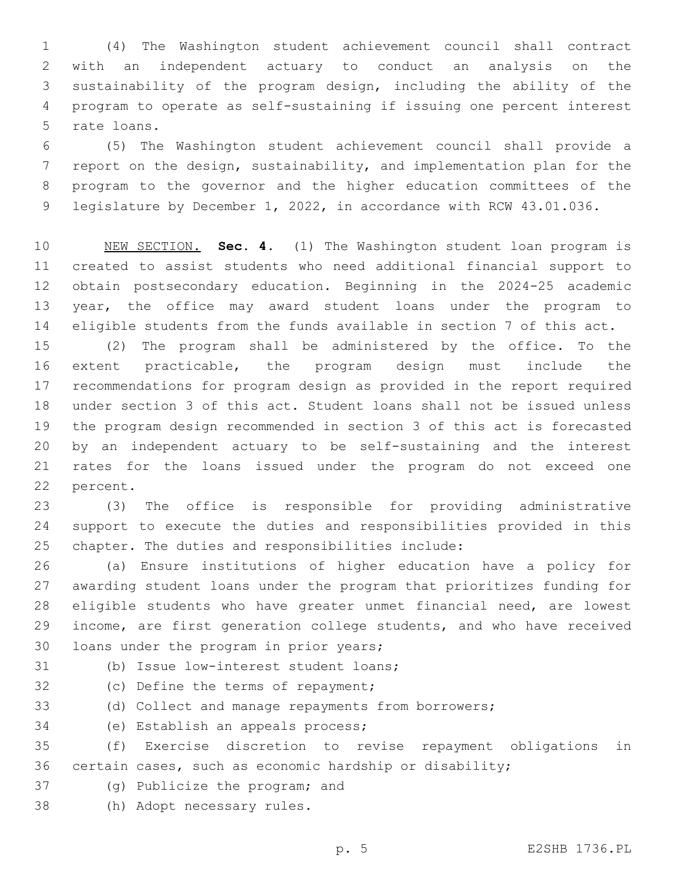(4) The Washington student achievement council shall contract with an independent actuary to conduct an analysis on the sustainability of the program design, including the ability of the program to operate as self-sustaining if issuing one percent interest 5 rate loans.

 (5) The Washington student achievement council shall provide a report on the design, sustainability, and implementation plan for the program to the governor and the higher education committees of the legislature by December 1, 2022, in accordance with RCW 43.01.036.

 NEW SECTION. **Sec. 4.** (1) The Washington student loan program is created to assist students who need additional financial support to obtain postsecondary education. Beginning in the 2024-25 academic year, the office may award student loans under the program to eligible students from the funds available in section 7 of this act.

 (2) The program shall be administered by the office. To the extent practicable, the program design must include the recommendations for program design as provided in the report required under section 3 of this act. Student loans shall not be issued unless the program design recommended in section 3 of this act is forecasted by an independent actuary to be self-sustaining and the interest rates for the loans issued under the program do not exceed one 22 percent.

 (3) The office is responsible for providing administrative support to execute the duties and responsibilities provided in this 25 chapter. The duties and responsibilities include:

 (a) Ensure institutions of higher education have a policy for awarding student loans under the program that prioritizes funding for eligible students who have greater unmet financial need, are lowest income, are first generation college students, and who have received 30 loans under the program in prior years;

(b) Issue low-interest student loans;

32 (c) Define the terms of repayment;

(d) Collect and manage repayments from borrowers;

34 (e) Establish an appeals process;

 (f) Exercise discretion to revise repayment obligations in certain cases, such as economic hardship or disability;

- 37 (g) Publicize the program; and
- 38 (h) Adopt necessary rules.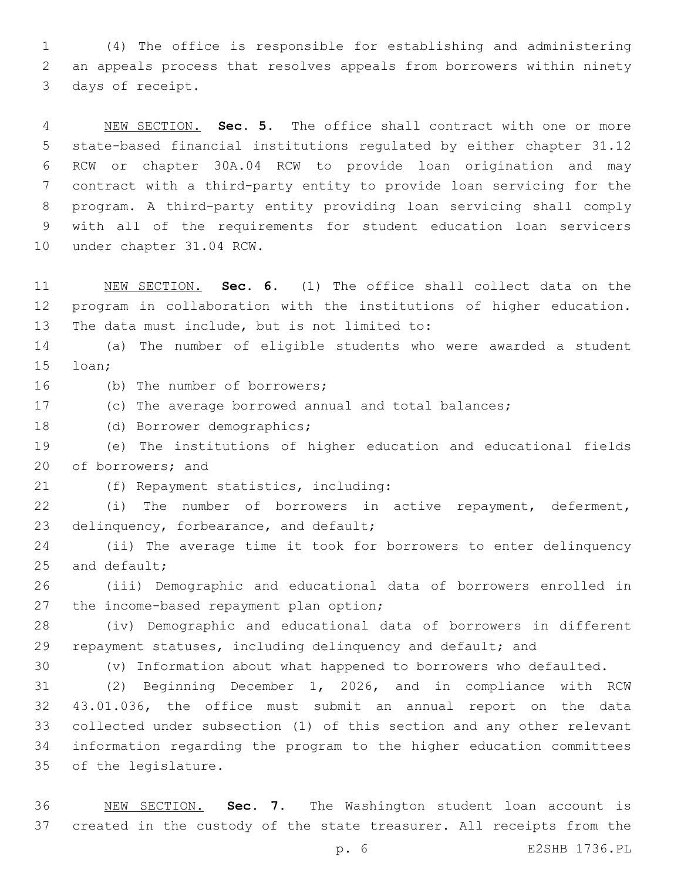(4) The office is responsible for establishing and administering an appeals process that resolves appeals from borrowers within ninety 3 days of receipt.

 NEW SECTION. **Sec. 5.** The office shall contract with one or more state-based financial institutions regulated by either chapter 31.12 RCW or chapter 30A.04 RCW to provide loan origination and may contract with a third-party entity to provide loan servicing for the program. A third-party entity providing loan servicing shall comply with all of the requirements for student education loan servicers under chapter 31.04 RCW.

 NEW SECTION. **Sec. 6.** (1) The office shall collect data on the program in collaboration with the institutions of higher education. The data must include, but is not limited to:

 (a) The number of eligible students who were awarded a student 15 loan;

16 (b) The number of borrowers;

- (c) The average borrowed annual and total balances;
- 18 (d) Borrower demographics;

 (e) The institutions of higher education and educational fields 20 of borrowers; and

(f) Repayment statistics, including:21

 (i) The number of borrowers in active repayment, deferment, 23 delinquency, forbearance, and default;

 (ii) The average time it took for borrowers to enter delinquency and default;

 (iii) Demographic and educational data of borrowers enrolled in 27 the income-based repayment plan option;

 (iv) Demographic and educational data of borrowers in different 29 repayment statuses, including delinquency and default; and

(v) Information about what happened to borrowers who defaulted.

 (2) Beginning December 1, 2026, and in compliance with RCW 43.01.036, the office must submit an annual report on the data collected under subsection (1) of this section and any other relevant information regarding the program to the higher education committees 35 of the legislature.

 NEW SECTION. **Sec. 7.** The Washington student loan account is created in the custody of the state treasurer. All receipts from the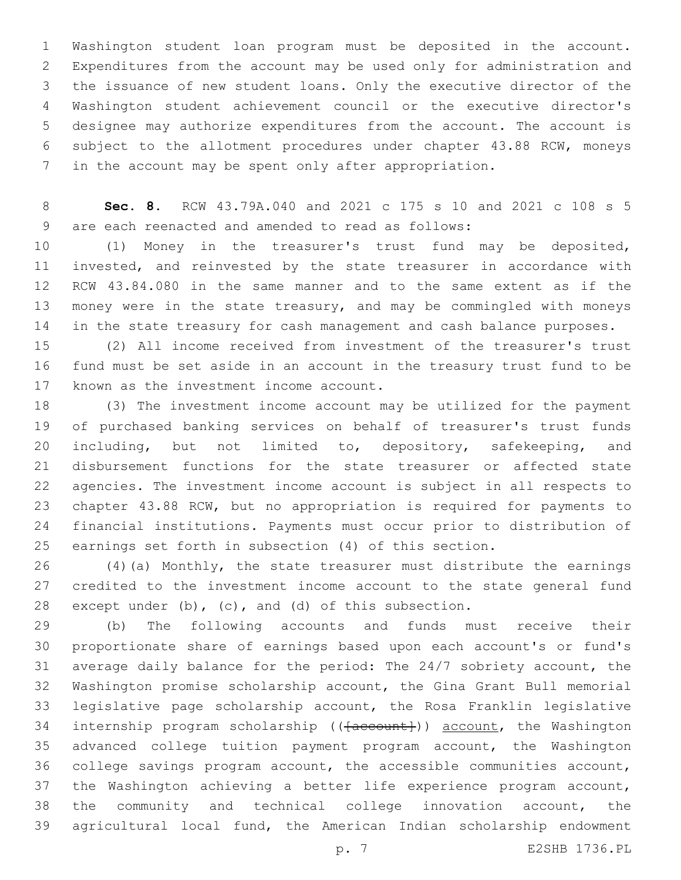Washington student loan program must be deposited in the account. Expenditures from the account may be used only for administration and the issuance of new student loans. Only the executive director of the Washington student achievement council or the executive director's designee may authorize expenditures from the account. The account is subject to the allotment procedures under chapter 43.88 RCW, moneys in the account may be spent only after appropriation.

 **Sec. 8.** RCW 43.79A.040 and 2021 c 175 s 10 and 2021 c 108 s 5 9 are each reenacted and amended to read as follows:

 (1) Money in the treasurer's trust fund may be deposited, invested, and reinvested by the state treasurer in accordance with RCW 43.84.080 in the same manner and to the same extent as if the money were in the state treasury, and may be commingled with moneys 14 in the state treasury for cash management and cash balance purposes.

 (2) All income received from investment of the treasurer's trust fund must be set aside in an account in the treasury trust fund to be 17 known as the investment income account.

 (3) The investment income account may be utilized for the payment of purchased banking services on behalf of treasurer's trust funds 20 including, but not limited to, depository, safekeeping, and disbursement functions for the state treasurer or affected state agencies. The investment income account is subject in all respects to chapter 43.88 RCW, but no appropriation is required for payments to financial institutions. Payments must occur prior to distribution of earnings set forth in subsection (4) of this section.

 (4)(a) Monthly, the state treasurer must distribute the earnings credited to the investment income account to the state general fund except under (b), (c), and (d) of this subsection.

 (b) The following accounts and funds must receive their proportionate share of earnings based upon each account's or fund's average daily balance for the period: The 24/7 sobriety account, the Washington promise scholarship account, the Gina Grant Bull memorial legislative page scholarship account, the Rosa Franklin legislative 34 internship program scholarship (( $\{a$ ccount)) account, the Washington advanced college tuition payment program account, the Washington college savings program account, the accessible communities account, the Washington achieving a better life experience program account, the community and technical college innovation account, the agricultural local fund, the American Indian scholarship endowment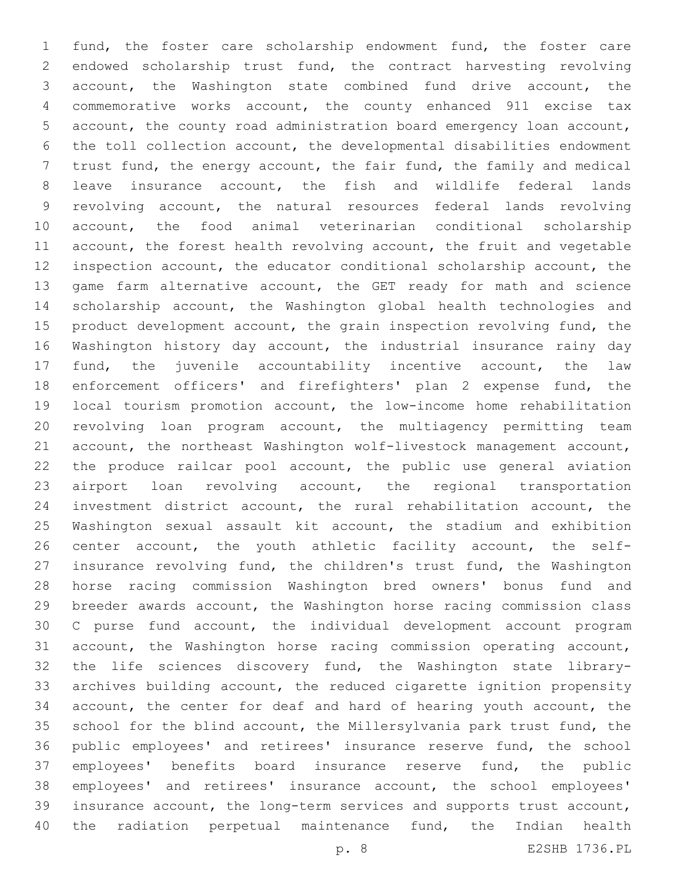fund, the foster care scholarship endowment fund, the foster care endowed scholarship trust fund, the contract harvesting revolving account, the Washington state combined fund drive account, the commemorative works account, the county enhanced 911 excise tax account, the county road administration board emergency loan account, the toll collection account, the developmental disabilities endowment trust fund, the energy account, the fair fund, the family and medical leave insurance account, the fish and wildlife federal lands revolving account, the natural resources federal lands revolving account, the food animal veterinarian conditional scholarship account, the forest health revolving account, the fruit and vegetable inspection account, the educator conditional scholarship account, the game farm alternative account, the GET ready for math and science scholarship account, the Washington global health technologies and 15 product development account, the grain inspection revolving fund, the Washington history day account, the industrial insurance rainy day fund, the juvenile accountability incentive account, the law enforcement officers' and firefighters' plan 2 expense fund, the local tourism promotion account, the low-income home rehabilitation revolving loan program account, the multiagency permitting team account, the northeast Washington wolf-livestock management account, the produce railcar pool account, the public use general aviation 23 airport loan revolving account, the regional transportation investment district account, the rural rehabilitation account, the Washington sexual assault kit account, the stadium and exhibition center account, the youth athletic facility account, the self- insurance revolving fund, the children's trust fund, the Washington horse racing commission Washington bred owners' bonus fund and breeder awards account, the Washington horse racing commission class C purse fund account, the individual development account program account, the Washington horse racing commission operating account, the life sciences discovery fund, the Washington state library- archives building account, the reduced cigarette ignition propensity account, the center for deaf and hard of hearing youth account, the school for the blind account, the Millersylvania park trust fund, the public employees' and retirees' insurance reserve fund, the school employees' benefits board insurance reserve fund, the public employees' and retirees' insurance account, the school employees' insurance account, the long-term services and supports trust account, the radiation perpetual maintenance fund, the Indian health